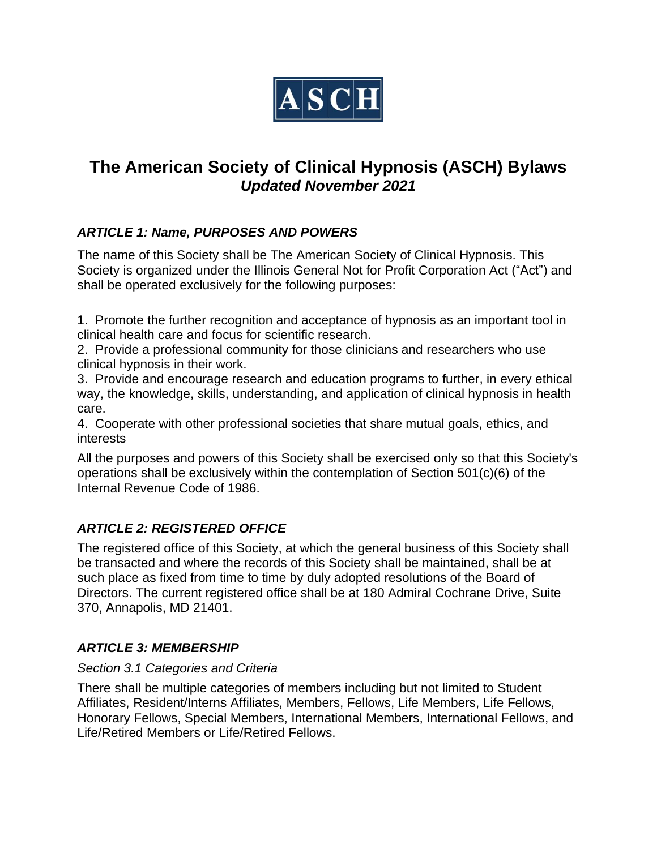

# **The American Society of Clinical Hypnosis (ASCH) Bylaws** *Updated November 2021*

# *ARTICLE 1: Name, PURPOSES AND POWERS*

The name of this Society shall be The American Society of Clinical Hypnosis. This Society is organized under the Illinois General Not for Profit Corporation Act ("Act") and shall be operated exclusively for the following purposes:

1. Promote the further recognition and acceptance of hypnosis as an important tool in clinical health care and focus for scientific research.

2. Provide a professional community for those clinicians and researchers who use clinical hypnosis in their work.

3. Provide and encourage research and education programs to further, in every ethical way, the knowledge, skills, understanding, and application of clinical hypnosis in health care.

4. Cooperate with other professional societies that share mutual goals, ethics, and interests

All the purposes and powers of this Society shall be exercised only so that this Society's operations shall be exclusively within the contemplation of Section 501(c)(6) of the Internal Revenue Code of 1986.

# *ARTICLE 2: REGISTERED OFFICE*

The registered office of this Society, at which the general business of this Society shall be transacted and where the records of this Society shall be maintained, shall be at such place as fixed from time to time by duly adopted resolutions of the Board of Directors. The current registered office shall be at 180 Admiral Cochrane Drive, Suite 370, Annapolis, MD 21401.

# *ARTICLE 3: MEMBERSHIP*

### *Section 3.1 Categories and Criteria*

There shall be multiple categories of members including but not limited to Student Affiliates, Resident/Interns Affiliates, Members, Fellows, Life Members, Life Fellows, Honorary Fellows, Special Members, International Members, International Fellows, and Life/Retired Members or Life/Retired Fellows.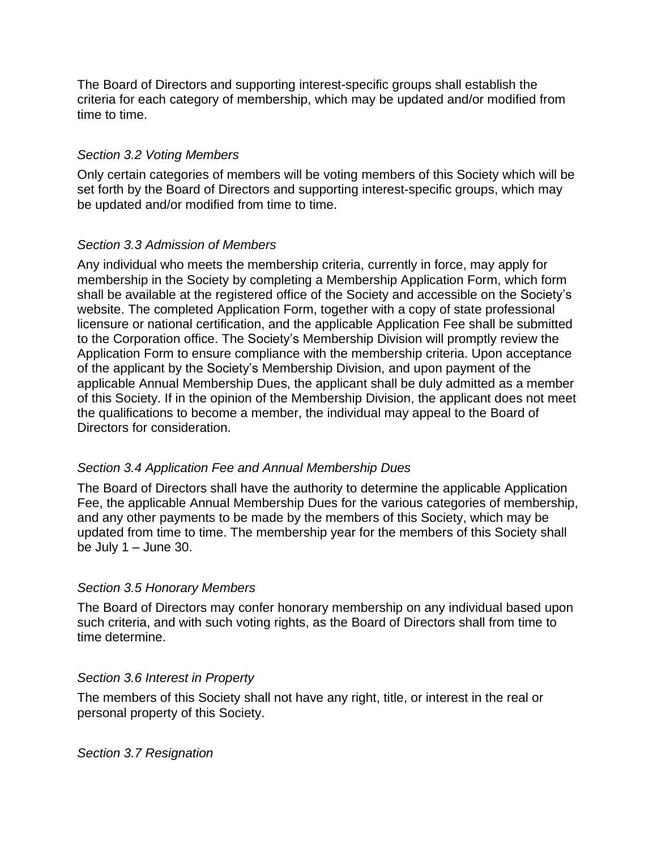The Board of Directors and supporting interest-specific groups shall establish the criteria for each category of membership, which may be updated and/or modified from time to time.

### *Section 3.2 Voting Members*

Only certain categories of members will be voting members of this Society which will be set forth by the Board of Directors and supporting interest-specific groups, which may be updated and/or modified from time to time.

# *Section 3.3 Admission of Members*

Any individual who meets the membership criteria, currently in force, may apply for membership in the Society by completing a Membership Application Form, which form shall be available at the registered office of the Society and accessible on the Society's website. The completed Application Form, together with a copy of state professional licensure or national certification, and the applicable Application Fee shall be submitted to the Corporation office. The Society's Membership Division will promptly review the Application Form to ensure compliance with the membership criteria. Upon acceptance of the applicant by the Society's Membership Division, and upon payment of the applicable Annual Membership Dues, the applicant shall be duly admitted as a member of this Society. If in the opinion of the Membership Division, the applicant does not meet the qualifications to become a member, the individual may appeal to the Board of Directors for consideration.

# *Section 3.4 Application Fee and Annual Membership Dues*

The Board of Directors shall have the authority to determine the applicable Application Fee, the applicable Annual Membership Dues for the various categories of membership, and any other payments to be made by the members of this Society, which may be updated from time to time. The membership year for the members of this Society shall be July  $1 -$  June 30.

# *Section 3.5 Honorary Members*

The Board of Directors may confer honorary membership on any individual based upon such criteria, and with such voting rights, as the Board of Directors shall from time to time determine.

### *Section 3.6 Interest in Property*

The members of this Society shall not have any right, title, or interest in the real or personal property of this Society.

### *Section 3.7 Resignation*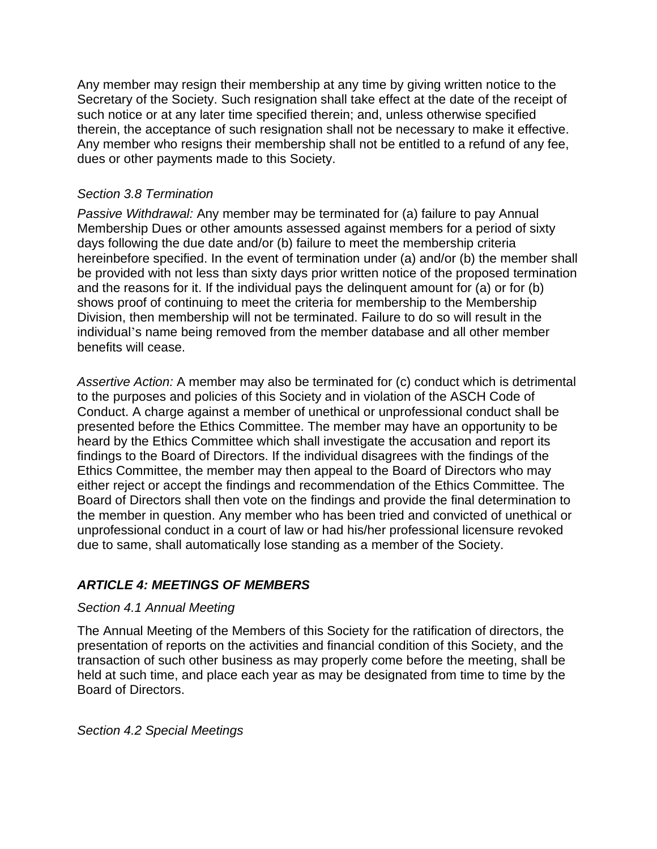Any member may resign their membership at any time by giving written notice to the Secretary of the Society. Such resignation shall take effect at the date of the receipt of such notice or at any later time specified therein; and, unless otherwise specified therein, the acceptance of such resignation shall not be necessary to make it effective. Any member who resigns their membership shall not be entitled to a refund of any fee, dues or other payments made to this Society.

### *Section 3.8 Termination*

*Passive Withdrawal:* Any member may be terminated for (a) failure to pay Annual Membership Dues or other amounts assessed against members for a period of sixty days following the due date and/or (b) failure to meet the membership criteria hereinbefore specified. In the event of termination under (a) and/or (b) the member shall be provided with not less than sixty days prior written notice of the proposed termination and the reasons for it. If the individual pays the delinquent amount for (a) or for (b) shows proof of continuing to meet the criteria for membership to the Membership Division, then membership will not be terminated. Failure to do so will result in the individual's name being removed from the member database and all other member benefits will cease.

*Assertive Action:* A member may also be terminated for (c) conduct which is detrimental to the purposes and policies of this Society and in violation of the ASCH Code of Conduct. A charge against a member of unethical or unprofessional conduct shall be presented before the Ethics Committee. The member may have an opportunity to be heard by the Ethics Committee which shall investigate the accusation and report its findings to the Board of Directors. If the individual disagrees with the findings of the Ethics Committee, the member may then appeal to the Board of Directors who may either reject or accept the findings and recommendation of the Ethics Committee. The Board of Directors shall then vote on the findings and provide the final determination to the member in question. Any member who has been tried and convicted of unethical or unprofessional conduct in a court of law or had his/her professional licensure revoked due to same, shall automatically lose standing as a member of the Society.

# *ARTICLE 4: MEETINGS OF MEMBERS*

### *Section 4.1 Annual Meeting*

The Annual Meeting of the Members of this Society for the ratification of directors, the presentation of reports on the activities and financial condition of this Society, and the transaction of such other business as may properly come before the meeting, shall be held at such time, and place each year as may be designated from time to time by the Board of Directors.

*Section 4.2 Special Meetings*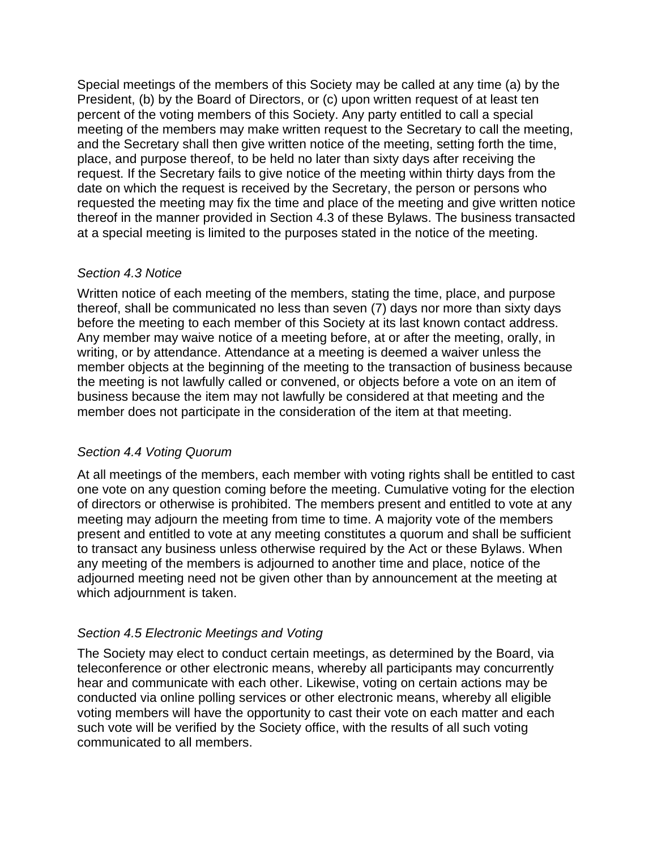Special meetings of the members of this Society may be called at any time (a) by the President, (b) by the Board of Directors, or (c) upon written request of at least ten percent of the voting members of this Society. Any party entitled to call a special meeting of the members may make written request to the Secretary to call the meeting, and the Secretary shall then give written notice of the meeting, setting forth the time, place, and purpose thereof, to be held no later than sixty days after receiving the request. If the Secretary fails to give notice of the meeting within thirty days from the date on which the request is received by the Secretary, the person or persons who requested the meeting may fix the time and place of the meeting and give written notice thereof in the manner provided in Section 4.3 of these Bylaws. The business transacted at a special meeting is limited to the purposes stated in the notice of the meeting.

### *Section 4.3 Notice*

Written notice of each meeting of the members, stating the time, place, and purpose thereof, shall be communicated no less than seven (7) days nor more than sixty days before the meeting to each member of this Society at its last known contact address. Any member may waive notice of a meeting before, at or after the meeting, orally, in writing, or by attendance. Attendance at a meeting is deemed a waiver unless the member objects at the beginning of the meeting to the transaction of business because the meeting is not lawfully called or convened, or objects before a vote on an item of business because the item may not lawfully be considered at that meeting and the member does not participate in the consideration of the item at that meeting.

# *Section 4.4 Voting Quorum*

At all meetings of the members, each member with voting rights shall be entitled to cast one vote on any question coming before the meeting. Cumulative voting for the election of directors or otherwise is prohibited. The members present and entitled to vote at any meeting may adjourn the meeting from time to time. A majority vote of the members present and entitled to vote at any meeting constitutes a quorum and shall be sufficient to transact any business unless otherwise required by the Act or these Bylaws. When any meeting of the members is adjourned to another time and place, notice of the adjourned meeting need not be given other than by announcement at the meeting at which adjournment is taken.

# *Section 4.5 Electronic Meetings and Voting*

The Society may elect to conduct certain meetings, as determined by the Board, via teleconference or other electronic means, whereby all participants may concurrently hear and communicate with each other. Likewise, voting on certain actions may be conducted via online polling services or other electronic means, whereby all eligible voting members will have the opportunity to cast their vote on each matter and each such vote will be verified by the Society office, with the results of all such voting communicated to all members.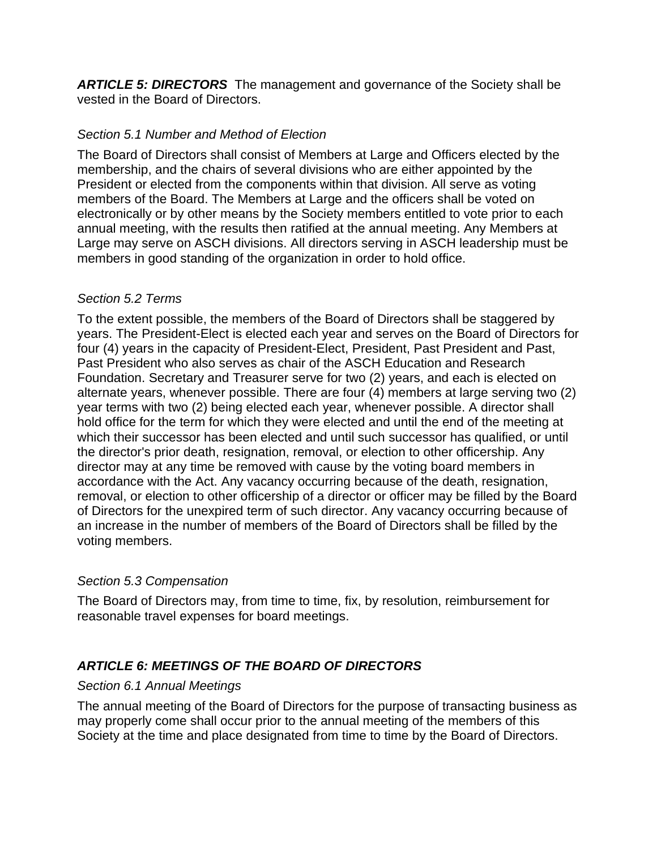*ARTICLE 5: DIRECTORS* The management and governance of the Society shall be vested in the Board of Directors.

# *Section 5.1 Number and Method of Election*

The Board of Directors shall consist of Members at Large and Officers elected by the membership, and the chairs of several divisions who are either appointed by the President or elected from the components within that division. All serve as voting members of the Board. The Members at Large and the officers shall be voted on electronically or by other means by the Society members entitled to vote prior to each annual meeting, with the results then ratified at the annual meeting. Any Members at Large may serve on ASCH divisions. All directors serving in ASCH leadership must be members in good standing of the organization in order to hold office.

# *Section 5.2 Terms*

To the extent possible, the members of the Board of Directors shall be staggered by years. The President-Elect is elected each year and serves on the Board of Directors for four (4) years in the capacity of President-Elect, President, Past President and Past, Past President who also serves as chair of the ASCH Education and Research Foundation. Secretary and Treasurer serve for two (2) years, and each is elected on alternate years, whenever possible. There are four (4) members at large serving two (2) year terms with two (2) being elected each year, whenever possible. A director shall hold office for the term for which they were elected and until the end of the meeting at which their successor has been elected and until such successor has qualified, or until the director's prior death, resignation, removal, or election to other officership. Any director may at any time be removed with cause by the voting board members in accordance with the Act. Any vacancy occurring because of the death, resignation, removal, or election to other officership of a director or officer may be filled by the Board of Directors for the unexpired term of such director. Any vacancy occurring because of an increase in the number of members of the Board of Directors shall be filled by the voting members.

# *Section 5.3 Compensation*

The Board of Directors may, from time to time, fix, by resolution, reimbursement for reasonable travel expenses for board meetings.

# *ARTICLE 6: MEETINGS OF THE BOARD OF DIRECTORS*

### *Section 6.1 Annual Meetings*

The annual meeting of the Board of Directors for the purpose of transacting business as may properly come shall occur prior to the annual meeting of the members of this Society at the time and place designated from time to time by the Board of Directors.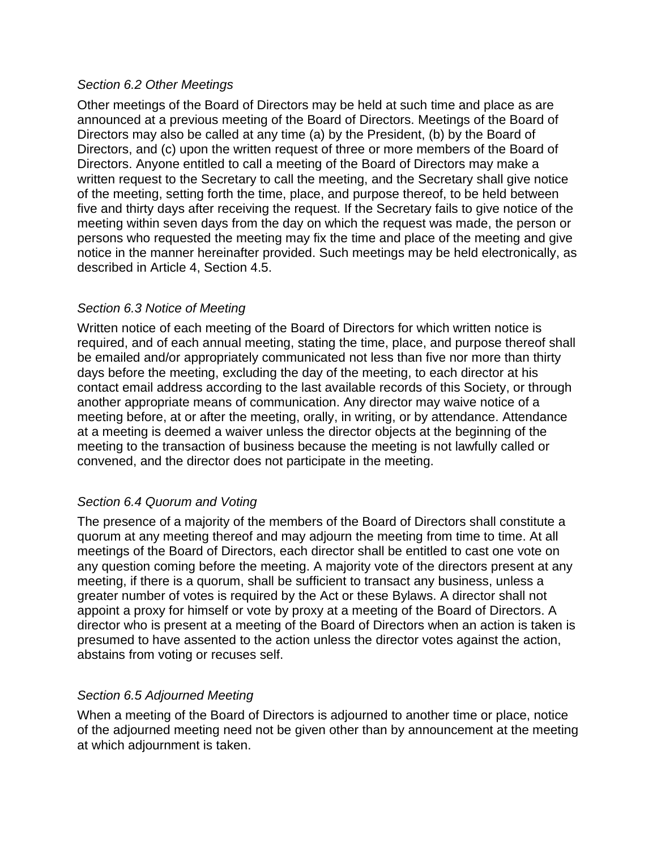#### *Section 6.2 Other Meetings*

Other meetings of the Board of Directors may be held at such time and place as are announced at a previous meeting of the Board of Directors. Meetings of the Board of Directors may also be called at any time (a) by the President, (b) by the Board of Directors, and (c) upon the written request of three or more members of the Board of Directors. Anyone entitled to call a meeting of the Board of Directors may make a written request to the Secretary to call the meeting, and the Secretary shall give notice of the meeting, setting forth the time, place, and purpose thereof, to be held between five and thirty days after receiving the request. If the Secretary fails to give notice of the meeting within seven days from the day on which the request was made, the person or persons who requested the meeting may fix the time and place of the meeting and give notice in the manner hereinafter provided. Such meetings may be held electronically, as described in Article 4, Section 4.5.

### *Section 6.3 Notice of Meeting*

Written notice of each meeting of the Board of Directors for which written notice is required, and of each annual meeting, stating the time, place, and purpose thereof shall be emailed and/or appropriately communicated not less than five nor more than thirty days before the meeting, excluding the day of the meeting, to each director at his contact email address according to the last available records of this Society, or through another appropriate means of communication. Any director may waive notice of a meeting before, at or after the meeting, orally, in writing, or by attendance. Attendance at a meeting is deemed a waiver unless the director objects at the beginning of the meeting to the transaction of business because the meeting is not lawfully called or convened, and the director does not participate in the meeting.

### *Section 6.4 Quorum and Voting*

The presence of a majority of the members of the Board of Directors shall constitute a quorum at any meeting thereof and may adjourn the meeting from time to time. At all meetings of the Board of Directors, each director shall be entitled to cast one vote on any question coming before the meeting. A majority vote of the directors present at any meeting, if there is a quorum, shall be sufficient to transact any business, unless a greater number of votes is required by the Act or these Bylaws. A director shall not appoint a proxy for himself or vote by proxy at a meeting of the Board of Directors. A director who is present at a meeting of the Board of Directors when an action is taken is presumed to have assented to the action unless the director votes against the action, abstains from voting or recuses self.

### *Section 6.5 Adjourned Meeting*

When a meeting of the Board of Directors is adjourned to another time or place, notice of the adjourned meeting need not be given other than by announcement at the meeting at which adjournment is taken.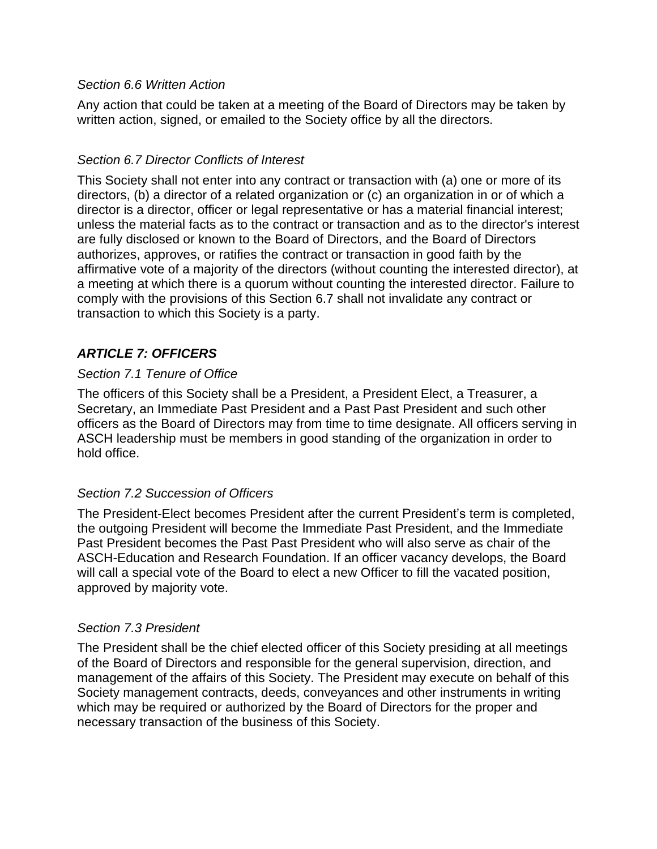### *Section 6.6 Written Action*

Any action that could be taken at a meeting of the Board of Directors may be taken by written action, signed, or emailed to the Society office by all the directors.

### *Section 6.7 Director Conflicts of Interest*

This Society shall not enter into any contract or transaction with (a) one or more of its directors, (b) a director of a related organization or (c) an organization in or of which a director is a director, officer or legal representative or has a material financial interest; unless the material facts as to the contract or transaction and as to the director's interest are fully disclosed or known to the Board of Directors, and the Board of Directors authorizes, approves, or ratifies the contract or transaction in good faith by the affirmative vote of a majority of the directors (without counting the interested director), at a meeting at which there is a quorum without counting the interested director. Failure to comply with the provisions of this Section 6.7 shall not invalidate any contract or transaction to which this Society is a party.

# *ARTICLE 7: OFFICERS*

### *Section 7.1 Tenure of Office*

The officers of this Society shall be a President, a President Elect, a Treasurer, a Secretary, an Immediate Past President and a Past Past President and such other officers as the Board of Directors may from time to time designate. All officers serving in ASCH leadership must be members in good standing of the organization in order to hold office.

### *Section 7.2 Succession of Officers*

The President-Elect becomes President after the current President's term is completed, the outgoing President will become the Immediate Past President, and the Immediate Past President becomes the Past Past President who will also serve as chair of the ASCH-Education and Research Foundation. If an officer vacancy develops, the Board will call a special vote of the Board to elect a new Officer to fill the vacated position, approved by majority vote.

### *Section 7.3 President*

The President shall be the chief elected officer of this Society presiding at all meetings of the Board of Directors and responsible for the general supervision, direction, and management of the affairs of this Society. The President may execute on behalf of this Society management contracts, deeds, conveyances and other instruments in writing which may be required or authorized by the Board of Directors for the proper and necessary transaction of the business of this Society.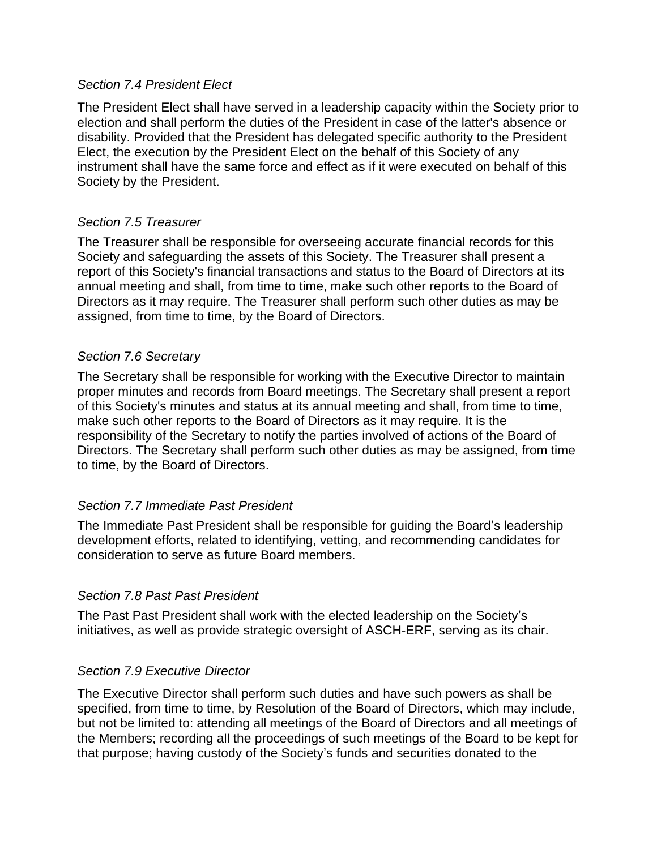#### *Section 7.4 President Elect*

The President Elect shall have served in a leadership capacity within the Society prior to election and shall perform the duties of the President in case of the latter's absence or disability. Provided that the President has delegated specific authority to the President Elect, the execution by the President Elect on the behalf of this Society of any instrument shall have the same force and effect as if it were executed on behalf of this Society by the President.

### *Section 7.5 Treasurer*

The Treasurer shall be responsible for overseeing accurate financial records for this Society and safeguarding the assets of this Society. The Treasurer shall present a report of this Society's financial transactions and status to the Board of Directors at its annual meeting and shall, from time to time, make such other reports to the Board of Directors as it may require. The Treasurer shall perform such other duties as may be assigned, from time to time, by the Board of Directors.

### *Section 7.6 Secretary*

The Secretary shall be responsible for working with the Executive Director to maintain proper minutes and records from Board meetings. The Secretary shall present a report of this Society's minutes and status at its annual meeting and shall, from time to time, make such other reports to the Board of Directors as it may require. It is the responsibility of the Secretary to notify the parties involved of actions of the Board of Directors. The Secretary shall perform such other duties as may be assigned, from time to time, by the Board of Directors.

### *Section 7.7 Immediate Past President*

The Immediate Past President shall be responsible for guiding the Board's leadership development efforts, related to identifying, vetting, and recommending candidates for consideration to serve as future Board members.

### *Section 7.8 Past Past President*

The Past Past President shall work with the elected leadership on the Society's initiatives, as well as provide strategic oversight of ASCH-ERF, serving as its chair.

### *Section 7.9 Executive Director*

The Executive Director shall perform such duties and have such powers as shall be specified, from time to time, by Resolution of the Board of Directors, which may include, but not be limited to: attending all meetings of the Board of Directors and all meetings of the Members; recording all the proceedings of such meetings of the Board to be kept for that purpose; having custody of the Society's funds and securities donated to the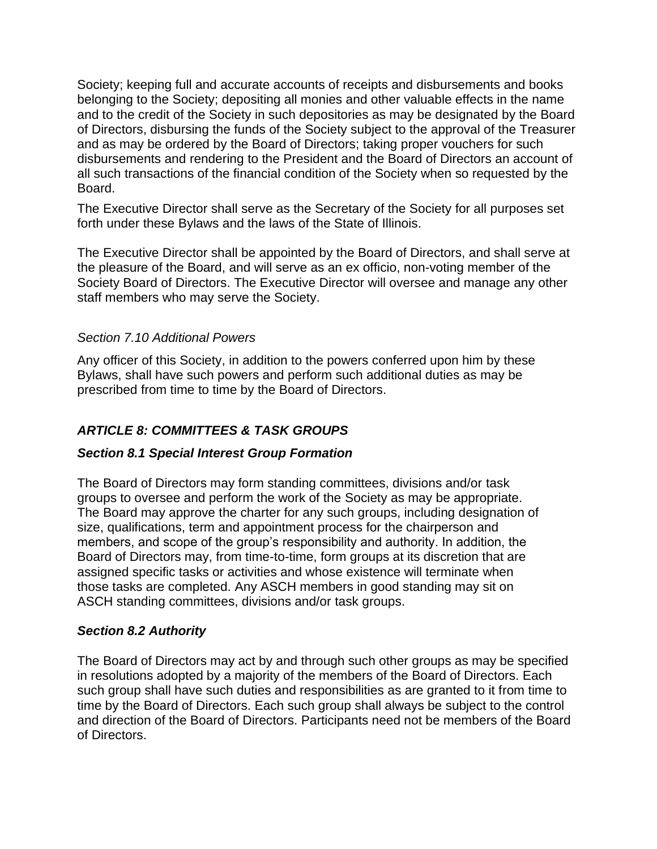Society; keeping full and accurate accounts of receipts and disbursements and books belonging to the Society; depositing all monies and other valuable effects in the name and to the credit of the Society in such depositories as may be designated by the Board of Directors, disbursing the funds of the Society subject to the approval of the Treasurer and as may be ordered by the Board of Directors; taking proper vouchers for such disbursements and rendering to the President and the Board of Directors an account of all such transactions of the financial condition of the Society when so requested by the Board.

The Executive Director shall serve as the Secretary of the Society for all purposes set forth under these Bylaws and the laws of the State of Illinois.

The Executive Director shall be appointed by the Board of Directors, and shall serve at the pleasure of the Board, and will serve as an ex officio, non-voting member of the Society Board of Directors. The Executive Director will oversee and manage any other staff members who may serve the Society.

### *Section 7.10 Additional Powers*

Any officer of this Society, in addition to the powers conferred upon him by these Bylaws, shall have such powers and perform such additional duties as may be prescribed from time to time by the Board of Directors.

# *ARTICLE 8: COMMITTEES & TASK GROUPS*

# *Section 8.1 Special Interest Group Formation*

The Board of Directors may form standing committees, divisions and/or task groups to oversee and perform the work of the Society as may be appropriate. The Board may approve the charter for any such groups, including designation of size, qualifications, term and appointment process for the chairperson and members, and scope of the group's responsibility and authority. In addition, the Board of Directors may, from time-to-time, form groups at its discretion that are assigned specific tasks or activities and whose existence will terminate when those tasks are completed. Any ASCH members in good standing may sit on ASCH standing committees, divisions and/or task groups.

### *Section 8.2 Authority*

The Board of Directors may act by and through such other groups as may be specified in resolutions adopted by a majority of the members of the Board of Directors. Each such group shall have such duties and responsibilities as are granted to it from time to time by the Board of Directors. Each such group shall always be subject to the control and direction of the Board of Directors. Participants need not be members of the Board of Directors.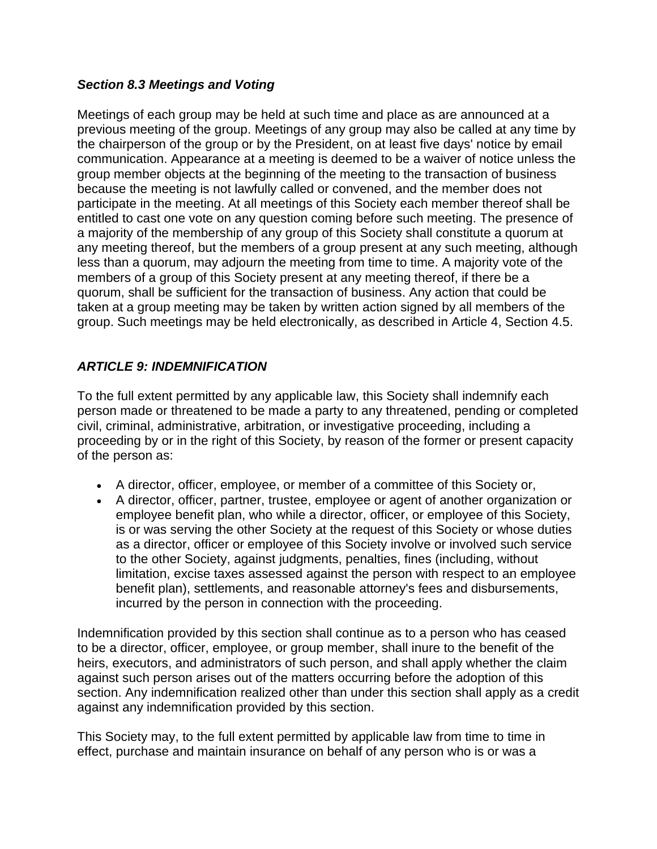### *Section 8.3 Meetings and Voting*

Meetings of each group may be held at such time and place as are announced at a previous meeting of the group. Meetings of any group may also be called at any time by the chairperson of the group or by the President, on at least five days' notice by email communication. Appearance at a meeting is deemed to be a waiver of notice unless the group member objects at the beginning of the meeting to the transaction of business because the meeting is not lawfully called or convened, and the member does not participate in the meeting. At all meetings of this Society each member thereof shall be entitled to cast one vote on any question coming before such meeting. The presence of a majority of the membership of any group of this Society shall constitute a quorum at any meeting thereof, but the members of a group present at any such meeting, although less than a quorum, may adjourn the meeting from time to time. A majority vote of the members of a group of this Society present at any meeting thereof, if there be a quorum, shall be sufficient for the transaction of business. Any action that could be taken at a group meeting may be taken by written action signed by all members of the group. Such meetings may be held electronically, as described in Article 4, Section 4.5.

# *ARTICLE 9: INDEMNIFICATION*

To the full extent permitted by any applicable law, this Society shall indemnify each person made or threatened to be made a party to any threatened, pending or completed civil, criminal, administrative, arbitration, or investigative proceeding, including a proceeding by or in the right of this Society, by reason of the former or present capacity of the person as:

- A director, officer, employee, or member of a committee of this Society or,
- A director, officer, partner, trustee, employee or agent of another organization or employee benefit plan, who while a director, officer, or employee of this Society, is or was serving the other Society at the request of this Society or whose duties as a director, officer or employee of this Society involve or involved such service to the other Society, against judgments, penalties, fines (including, without limitation, excise taxes assessed against the person with respect to an employee benefit plan), settlements, and reasonable attorney's fees and disbursements, incurred by the person in connection with the proceeding.

Indemnification provided by this section shall continue as to a person who has ceased to be a director, officer, employee, or group member, shall inure to the benefit of the heirs, executors, and administrators of such person, and shall apply whether the claim against such person arises out of the matters occurring before the adoption of this section. Any indemnification realized other than under this section shall apply as a credit against any indemnification provided by this section.

This Society may, to the full extent permitted by applicable law from time to time in effect, purchase and maintain insurance on behalf of any person who is or was a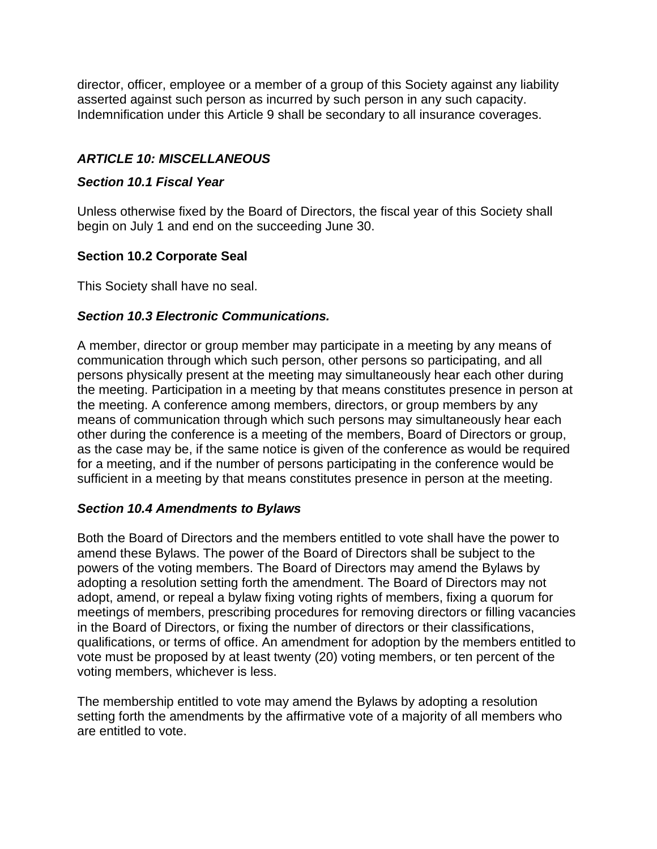director, officer, employee or a member of a group of this Society against any liability asserted against such person as incurred by such person in any such capacity. Indemnification under this Article 9 shall be secondary to all insurance coverages.

# *ARTICLE 10: MISCELLANEOUS*

### *Section 10.1 Fiscal Year*

Unless otherwise fixed by the Board of Directors, the fiscal year of this Society shall begin on July 1 and end on the succeeding June 30.

### **Section 10.2 Corporate Seal**

This Society shall have no seal.

### *Section 10.3 Electronic Communications.*

A member, director or group member may participate in a meeting by any means of communication through which such person, other persons so participating, and all persons physically present at the meeting may simultaneously hear each other during the meeting. Participation in a meeting by that means constitutes presence in person at the meeting. A conference among members, directors, or group members by any means of communication through which such persons may simultaneously hear each other during the conference is a meeting of the members, Board of Directors or group, as the case may be, if the same notice is given of the conference as would be required for a meeting, and if the number of persons participating in the conference would be sufficient in a meeting by that means constitutes presence in person at the meeting.

# *Section 10.4 Amendments to Bylaws*

Both the Board of Directors and the members entitled to vote shall have the power to amend these Bylaws. The power of the Board of Directors shall be subject to the powers of the voting members. The Board of Directors may amend the Bylaws by adopting a resolution setting forth the amendment. The Board of Directors may not adopt, amend, or repeal a bylaw fixing voting rights of members, fixing a quorum for meetings of members, prescribing procedures for removing directors or filling vacancies in the Board of Directors, or fixing the number of directors or their classifications, qualifications, or terms of office. An amendment for adoption by the members entitled to vote must be proposed by at least twenty (20) voting members, or ten percent of the voting members, whichever is less.

The membership entitled to vote may amend the Bylaws by adopting a resolution setting forth the amendments by the affirmative vote of a majority of all members who are entitled to vote.